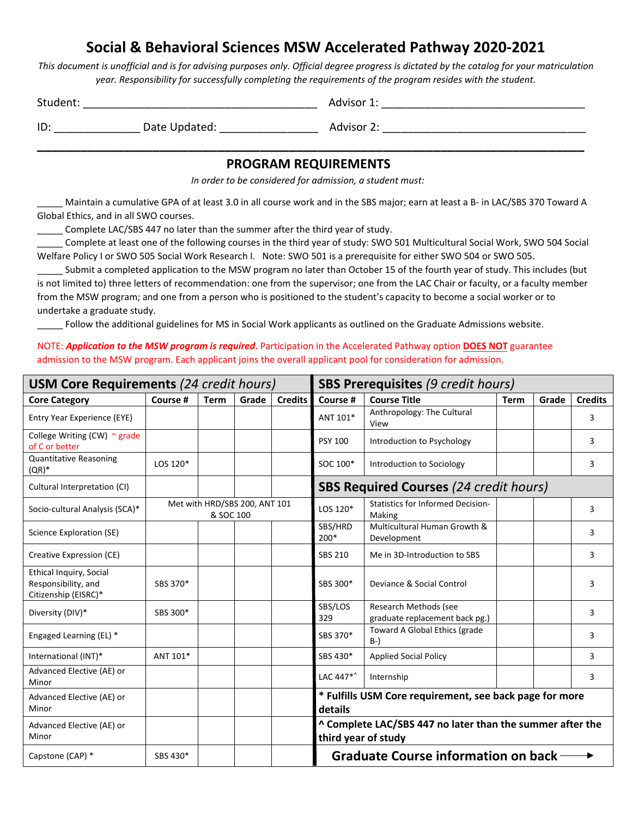## **Social & Behavioral Sciences MSW Accelerated Pathway 2020-2021**

This document is unofficial and is for advising purposes only. Official degree progress is dictated by the catalog for your matriculation *year. Responsibility for successfully completing the requirements of the program resides with the student.*

| Studen | ___ |
|--------|-----|
|        |     |

ID: \_\_\_\_\_\_\_\_\_\_\_\_\_\_ Date Updated: \_\_\_\_\_\_\_\_\_\_\_\_\_\_\_\_ Advisor 2: \_\_\_\_\_\_\_\_\_\_\_\_\_\_\_\_\_\_\_\_\_\_\_\_\_\_\_\_\_\_\_\_\_

**\_\_\_\_\_\_\_\_\_\_\_\_\_\_\_\_\_\_\_\_\_\_\_\_\_\_\_\_\_\_\_\_\_\_\_\_\_\_\_\_\_\_\_\_\_\_\_\_\_\_\_\_\_\_\_\_\_\_\_\_\_\_\_\_\_\_\_\_\_\_\_\_\_\_\_\_ PROGRAM REQUIREMENTS**

*In order to be considered for admission, a student must:*

Maintain a cumulative GPA of at least 3.0 in all course work and in the SBS major; earn at least a B- in LAC/SBS 370 Toward A Global Ethics, and in all SWO courses.

Complete LAC/SBS 447 no later than the summer after the third year of study.

\_\_\_\_\_ Complete at least one of the following courses in the third year of study: SWO 501 Multicultural Social Work, SWO 504 Social Welfare Policy I or SWO 505 Social Work Research I. Note: SWO 501 is a prerequisite for either SWO 504 or SWO 505.

\_\_\_\_\_ Submit a completed application to the MSW program no later than October 15 of the fourth year of study. This includes (but is not limited to) three letters of recommendation: one from the supervisor; one from the LAC Chair or faculty, or a faculty member from the MSW program; and one from a person who is positioned to the student's capacity to become a social worker or to undertake a graduate study.

\_\_\_\_\_ Follow the additional guidelines for MS in Social Work applicants as outlined on the Graduate Admissions website.

NOTE: *Application to the MSW program is required*. Participation in the Accelerated Pathway option **DOES NOT** guarantee admission to the MSW program. Each applicant joins the overall applicant pool for consideration for admission.

| <b>USM Core Requirements (24 credit hours)</b>                                |          |                                            | <b>SBS Prerequisites (9 credit hours)</b> |                |                                                                                  |                                                         |             |       |                |
|-------------------------------------------------------------------------------|----------|--------------------------------------------|-------------------------------------------|----------------|----------------------------------------------------------------------------------|---------------------------------------------------------|-------------|-------|----------------|
| <b>Core Category</b>                                                          | Course # | <b>Term</b>                                | Grade                                     | <b>Credits</b> | Course #                                                                         | <b>Course Title</b>                                     | <b>Term</b> | Grade | <b>Credits</b> |
| Entry Year Experience (EYE)                                                   |          |                                            |                                           |                | ANT 101*                                                                         | Anthropology: The Cultural<br>View                      |             |       | 3              |
| College Writing (CW) $\sim$ grade<br>of C or better                           |          |                                            |                                           |                | <b>PSY 100</b>                                                                   | Introduction to Psychology                              |             |       | 3              |
| <b>Quantitative Reasoning</b><br>$(QR)^*$                                     | LOS 120* |                                            |                                           |                | SOC 100*                                                                         | Introduction to Sociology                               |             |       | 3              |
| Cultural Interpretation (CI)                                                  |          |                                            |                                           |                | <b>SBS Required Courses (24 credit hours)</b>                                    |                                                         |             |       |                |
| Socio-cultural Analysis (SCA)*                                                |          | Met with HRD/SBS 200, ANT 101<br>& SOC 100 |                                           |                | LOS 120*                                                                         | <b>Statistics for Informed Decision-</b><br>Making      |             |       | 3              |
| Science Exploration (SE)                                                      |          |                                            |                                           |                | SBS/HRD<br>$200*$                                                                | Multicultural Human Growth &<br>Development             |             |       | 3              |
| Creative Expression (CE)                                                      |          |                                            |                                           |                | <b>SBS 210</b>                                                                   | Me in 3D-Introduction to SBS                            |             |       | 3              |
| <b>Ethical Inquiry, Social</b><br>Responsibility, and<br>Citizenship (EISRC)* | SBS 370* |                                            |                                           |                | SBS 300*                                                                         | Deviance & Social Control                               |             |       | 3              |
| Diversity (DIV)*                                                              | SBS 300* |                                            |                                           |                | SBS/LOS<br>329                                                                   | Research Methods (see<br>graduate replacement back pg.) |             |       | 3              |
| Engaged Learning (EL) *                                                       |          |                                            |                                           |                | SBS 370*                                                                         | Toward A Global Ethics (grade<br>$B-$                   |             |       | 3              |
| International (INT)*                                                          | ANT 101* |                                            |                                           |                | SBS 430*                                                                         | <b>Applied Social Policy</b>                            |             |       | 3              |
| Advanced Elective (AE) or<br>Minor                                            |          |                                            |                                           |                | LAC 447*^                                                                        | Internship                                              |             |       | 3              |
| Advanced Elective (AE) or<br>Minor                                            |          |                                            |                                           |                | * Fulfills USM Core requirement, see back page for more<br>details               |                                                         |             |       |                |
| Advanced Elective (AE) or<br>Minor                                            |          |                                            |                                           |                | ^ Complete LAC/SBS 447 no later than the summer after the<br>third year of study |                                                         |             |       |                |
| Capstone (CAP) *                                                              | SBS 430* |                                            |                                           |                | <b>Graduate Course information on back-</b>                                      |                                                         |             |       |                |